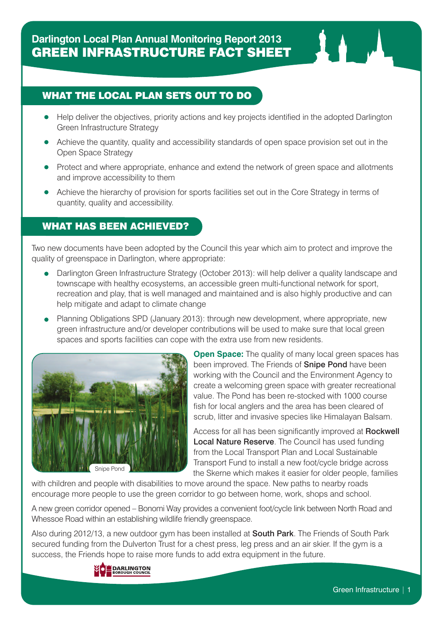### WHAT THE LOCAL PLAN SETS OUT TO DO

- Help deliver the objectives, priority actions and key projects identified in the adopted Darlington Green Infrastructure Strategy
- Achieve the quantity, quality and accessibility standards of open space provision set out in the Open Space Strategy
- Protect and where appropriate, enhance and extend the network of green space and allotments and improve accessibility to them
- Achieve the hierarchy of provision for sports facilities set out in the Core Strategy in terms of quantity, quality and accessibility.

## WHAT HAS BEEN ACHIEVED?

Two new documents have been adopted by the Council this year which aim to protect and improve the quality of greenspace in Darlington, where appropriate:

- Darlington Green Infrastructure Strategy (October 2013): will help deliver a quality landscape and townscape with healthy ecosystems, an accessible green multi-functional network for sport, recreation and play, that is well managed and maintained and is also highly productive and can help mitigate and adapt to climate change
- Planning Obligations SPD (January 2013): through new development, where appropriate, new green infrastructure and/or developer contributions will be used to make sure that local green spaces and sports facilities can cope with the extra use from new residents.



**Open Space:** The quality of many local green spaces has been improved. The Friends of **Snipe Pond** have been working with the Council and the Environment Agency to create a welcoming green space with greater recreational value. The Pond has been re-stocked with 1000 course fish for local anglers and the area has been cleared of scrub, litter and invasive species like Himalayan Balsam.

Access for all has been significantly improved at **Rockwell** Local Nature Reserve. The Council has used funding from the Local Transport Plan and Local Sustainable Transport Fund to install a new foot/cycle bridge across the Skerne which makes it easier for older people, families

with children and people with disabilities to move around the space. New paths to nearby roads encourage more people to use the green corridor to go between home, work, shops and school.

A new green corridor opened – Bonomi Way provides a convenient foot/cycle link between North Road and Whessoe Road within an establishing wildlife friendly greenspace.

Also during 2012/13, a new outdoor gym has been installed at **South Park**. The Friends of South Park secured funding from the Dulverton Trust for a chest press, leg press and an air skier. If the gym is a success, the Friends hope to raise more funds to add extra equipment in the future.

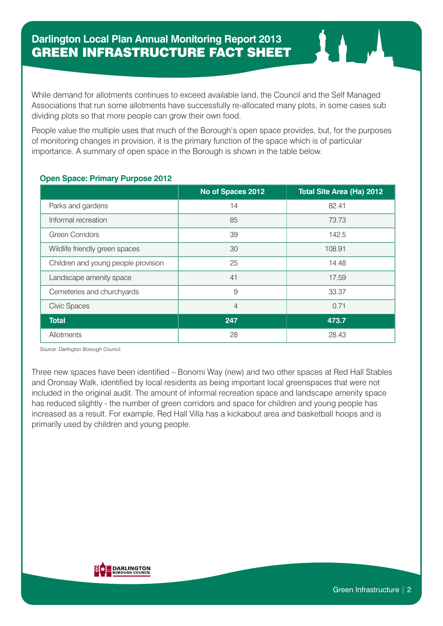While demand for allotments continues to exceed available land, the Council and the Self Managed Associations that run some allotments have successfully re-allocated many plots, in some cases sub dividing plots so that more people can grow their own food.

People value the multiple uses that much of the Borough's open space provides, but, for the purposes of monitoring changes in provision, it is the primary function of the space which is of particular importance. A summary of open space in the Borough is shown in the table below.

#### **Open Space: Primary Purpose 2012**

|                                     | No of Spaces 2012 | Total Site Area (Ha) 2012 |
|-------------------------------------|-------------------|---------------------------|
| Parks and gardens                   | 14                | 82.41                     |
| Informal recreation                 | 85                | 73.73                     |
| <b>Green Corridors</b>              | 39                | 142.5                     |
| Wildlife friendly green spaces      | 30                | 108.91                    |
| Children and young people provision | 25                | 14.48                     |
| Landscape amenity space             | 41                | 17.59                     |
| Cemeteries and churchyards          | 9                 | 33.37                     |
| <b>Civic Spaces</b>                 | $\overline{4}$    | 0.71                      |
| <b>Total</b>                        | 247               | 473.7                     |
| Allotments                          | 28                | 28.43                     |

*Source: Darlington Borough Council.*

Three new spaces have been identified – Bonomi Way (new) and two other spaces at Red Hall Stables and Oronsay Walk, identified by local residents as being important local greenspaces that were not included in the original audit. The amount of informal recreation space and landscape amenity space has reduced slightly - the number of green corridors and space for children and young people has increased as a result. For example, Red Hall Villa has a kickabout area and basketball hoops and is primarily used by children and young people.

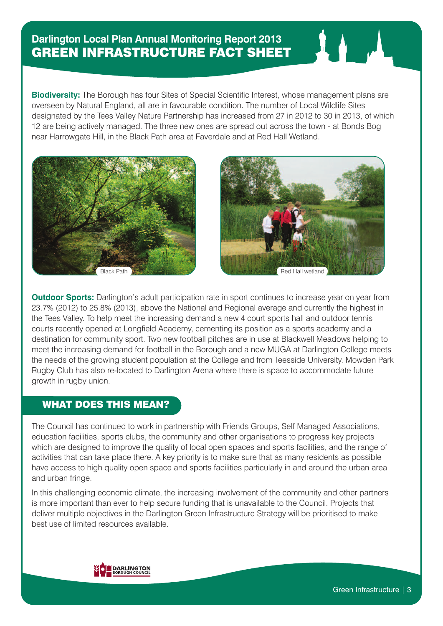# **Darlington Local Plan Annual Monitoring Report 2013** GREEN INFRASTRUCTURE FACT SHEET

**Biodiversity:** The Borough has four Sites of Special Scientific Interest, whose management plans are overseen by Natural England, all are in favourable condition. The number of Local Wildlife Sites designated by the Tees Valley Nature Partnership has increased from 27 in 2012 to 30 in 2013, of which 12 are being actively managed. The three new ones are spread out across the town - at Bonds Bog near Harrowgate Hill, in the Black Path area at Faverdale and at Red Hall Wetland.





**Outdoor Sports:** Darlington's adult participation rate in sport continues to increase year on year from 23.7% (2012) to 25.8% (2013), above the National and Regional average and currently the highest in the Tees Valley. To help meet the increasing demand a new 4 court sports hall and outdoor tennis courts recently opened at Longfield Academy, cementing its position as a sports academy and a destination for community sport. Two new football pitches are in use at Blackwell Meadows helping to meet the increasing demand for football in the Borough and a new MUGA at Darlington College meets the needs of the growing student population at the College and from Teesside University. Mowden Park Rugby Club has also re-located to Darlington Arena where there is space to accommodate future growth in rugby union.

## WHAT DOES THIS MEAN?

The Council has continued to work in partnership with Friends Groups, Self Managed Associations, education facilities, sports clubs, the community and other organisations to progress key projects which are designed to improve the quality of local open spaces and sports facilities, and the range of activities that can take place there. A key priority is to make sure that as many residents as possible have access to high quality open space and sports facilities particularly in and around the urban area and urban fringe.

In this challenging economic climate, the increasing involvement of the community and other partners is more important than ever to help secure funding that is unavailable to the Council. Projects that deliver multiple objectives in the Darlington Green Infrastructure Strategy will be prioritised to make best use of limited resources available.